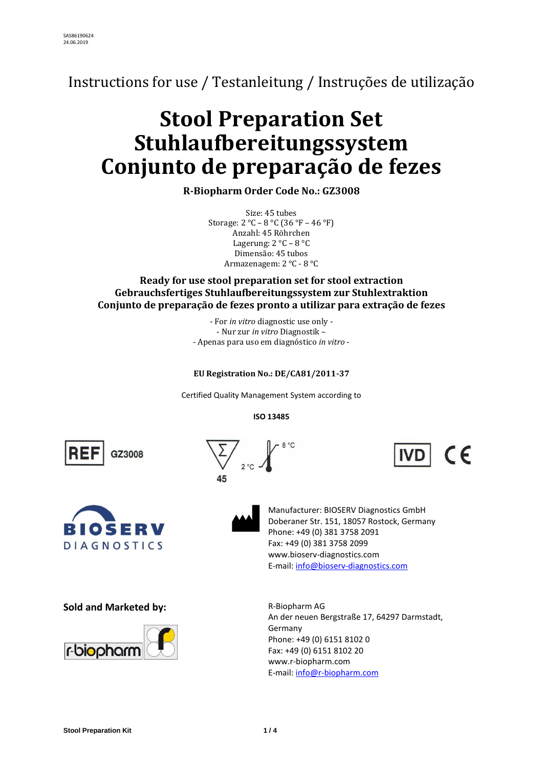Instructions for use / Testanleitung / Instruções de utilização

# **Stool Preparation Set Stuhlaufbereitungssystem Conjunto de preparação de fezes**

**R-Biopharm Order Code No.: GZ3008**

Size: 45 tubes Storage: 2 °C – 8 °C (36 °F – 46 °F) Anzahl: 45 Röhrchen Lagerung: 2 °C – 8 °C Dimensão: 45 tubos Armazenagem: 2 °C - 8 °C

# **Ready for use stool preparation set for stool extraction Gebrauchsfertiges Stuhlaufbereitungssystem zur Stuhlextraktion Conjunto de preparação de fezes pronto a utilizar para extração de fezes**

- For *in vitro* diagnostic use only - - Nur zur *in vitro* Diagnostik – - Apenas para uso em diagnóstico *in vitro* -

# **EU Registration No.: DE/CA81/2011-37**

Certified Quality Management System according to

**ISO 13485**

 $8^{\circ}$ C

GZ3008





Manufacturer: BIOSERV Diagnostics GmbH Doberaner Str. 151, 18057 Rostock, Germany Phone: +49 (0) 381 3758 2091 Fax: +49 (0) 381 3758 2099 [www.bioserv-diagnostics.com](http://www.bioserv-diagnostics.com/) E-mail[: info@bioserv-diagnostics.com](mailto:info@bioserv-diagnostics.com)

 $\epsilon$ 

**Sold and Marketed by:** R-Biopharm AG



An der neuen Bergstraße 17, 64297 Darmstadt, Germany Phone: +49 (0) 6151 8102 0 Fax: +49 (0) 6151 8102 20 [www.r-biopharm.com](http://www.r-biopharm.com/) E-mail[: info@r-biopharm.com](mailto:info@r-biopharm.com)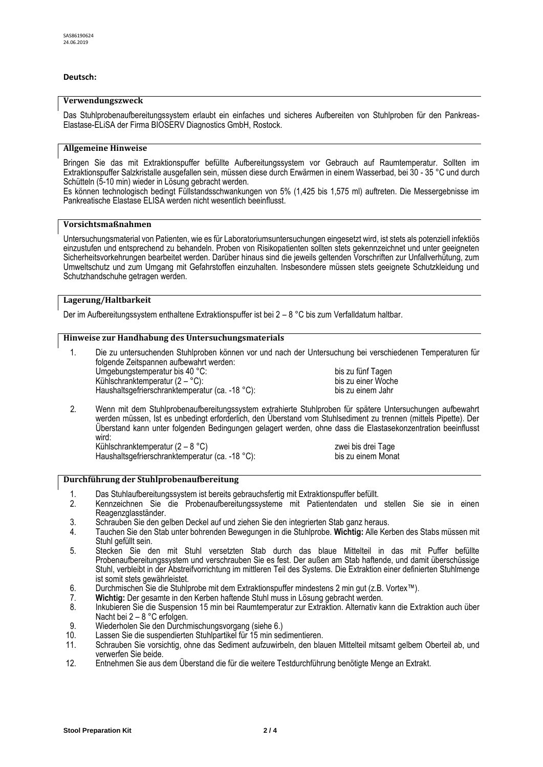# **Deutsch:**

#### **Verwendungszweck**

Das Stuhlprobenaufbereitungssystem erlaubt ein einfaches und sicheres Aufbereiten von Stuhlproben für den Pankreas-Elastase-ELiSA der Firma BIOSERV Diagnostics GmbH, Rostock.

# **Allgemeine Hinweise**

Bringen Sie das mit Extraktionspuffer befüllte Aufbereitungssystem vor Gebrauch auf Raumtemperatur. Sollten im Extraktionspuffer Salzkristalle ausgefallen sein, müssen diese durch Erwärmen in einem Wasserbad, bei 30 - 35 °C und durch Schütteln (5-10 min) wieder in Lösung gebracht werden.

Es können technologisch bedingt Füllstandsschwankungen von 5% (1,425 bis 1,575 ml) auftreten. Die Messergebnisse im Pankreatische Elastase ELISA werden nicht wesentlich beeinflusst.

#### **Vorsichtsmaßnahmen**

Untersuchungsmaterial von Patienten, wie es für Laboratoriumsuntersuchungen eingesetzt wird, ist stets als potenziell infektiös einzustufen und entsprechend zu behandeln. Proben von Risikopatienten sollten stets gekennzeichnet und unter geeigneten Sicherheitsvorkehrungen bearbeitet werden. Darüber hinaus sind die jeweils geltenden Vorschriften zur Unfallverhütung, zum Umweltschutz und zum Umgang mit Gefahrstoffen einzuhalten. Insbesondere müssen stets geeignete Schutzkleidung und Schutzhandschuhe getragen werden.

# **Lagerung/Haltbarkeit**

Der im Aufbereitungssystem enthaltene Extraktionspuffer ist bei 2 – 8 °C bis zum Verfalldatum haltbar.

# **Hinweise zur Handhabung des Untersuchungsmaterials**

- 1. Die zu untersuchenden Stuhlproben können vor und nach der Untersuchung bei verschiedenen Temperaturen für folgende Zeitspannen aufbewahrt werden: Umgebungstemperatur bis 40 °C:<br>
Kühlschranktemperatur (2 – °C):<br>
bis zu einer Woche Kühlschranktemperatur  $(2 - C)$ : Haushaltsgefrierschranktemperatur (ca. -18 °C): bis zu einem Jahr
- 2. Wenn mit dem Stuhlprobenaufbereitungssystem extrahierte Stuhlproben für spätere Untersuchungen aufbewahrt werden müssen, Ist es unbedingt erforderlich, den Überstand vom Stuhlsediment zu trennen (mittels Pipette). Der Überstand kann unter folgenden Bedingungen gelagert werden, ohne dass die Elastasekonzentration beeinflusst wird:

Kühlschranktemperatur (2 – 8 °C)<br>Haushaltsgefrierschranktemperatur (ca. -18 °C): bis zu einem Monat Haushaltsgefrierschranktemperatur (ca. -18 °C):

# **Durchführung der Stuhlprobenaufbereitung**

- 1. Das Stuhlaufbereitungssystem ist bereits gebrauchsfertig mit Extraktionspuffer befüllt.
- 2. Kennzeichnen Sie die Probenaufbereitungssysteme mit Patientendaten und stellen Sie sie in einen Reagenzglasständer.
- 3. Schrauben Sie den gelben Deckel auf und ziehen Sie den integrierten Stab ganz heraus.<br>4. Tauchen Sie den Stab unter bohrenden Bewegungen in die Stuhlprobe. Wichtig: Alle Ke
- 4. Tauchen Sie den Stab unter bohrenden Bewegungen in die Stuhlprobe. **Wichtig:** Alle Kerben des Stabs müssen mit Stuhl gefüllt sein.
- 5. Stecken Sie den mit Stuhl versetzten Stab durch das blaue Mittelteil in das mit Puffer befüllte Probenaufbereitungssystem und verschrauben Sie es fest. Der außen am Stab haftende, und damit überschüssige Stuhl, verbleibt in der Abstreifvorrichtung im mittleren Teil des Systems. Die Extraktion einer definierten Stuhlmenge ist somit stets gewährleistet.
- 6. Durchmischen Sie die Stuhlprobe mit dem Extraktionspuffer mindestens 2 min gut (z.B. Vortex™).
- 7. **Wichtig:** Der gesamte in den Kerben haftende Stuhl muss in Lösung gebracht werden.
- 8. Inkubieren Sie die Suspension 15 min bei Raumtemperatur zur Extraktion. Alternativ kann die Extraktion auch über Nacht bei 2 – 8 °C erfolgen.
- 9. Wiederholen Sie den Durchmischungsvorgang (siehe 6.)<br>10. Iassen Sie die suspendierten Stuhlpartikel für 15 min sec
- 10. Lassen Sie die suspendierten Stuhlpartikel für 15 min sedimentieren.<br>11. Schrauben Sie vorsichtig, ohne das Sediment aufzuwirbeln, den bla
- 11. Schrauben Sie vorsichtig, ohne das Sediment aufzuwirbeln, den blauen Mittelteil mitsamt gelbem Oberteil ab, und verwerfen Sie beide.
- 12. Entnehmen Sie aus dem Überstand die für die weitere Testdurchführung benötigte Menge an Extrakt.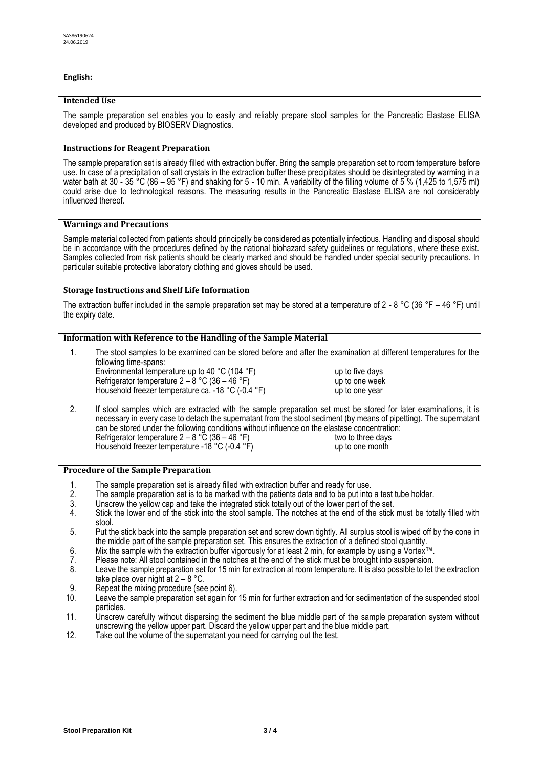# **English:**

# **Intended Use**

The sample preparation set enables you to easily and reliably prepare stool samples for the Pancreatic Elastase ELISA developed and produced by BIOSERV Diagnostics.

# **Instructions for Reagent Preparation**

The sample preparation set is already filled with extraction buffer. Bring the sample preparation set to room temperature before use. In case of a precipitation of salt crystals in the extraction buffer these precipitates should be disintegrated by warming in a water bath at 30 - 35 °C (86 – 95 °F) and shaking for 5 - 10 min. A variability of the filling volume of 5 % (1,425 to 1,575 ml) could arise due to technological reasons. The measuring results in the Pancreatic Elastase ELISA are not considerably influenced thereof.

#### **Warnings and Precautions**

Sample material collected from patients should principally be considered as potentially infectious. Handling and disposal should be in accordance with the procedures defined by the national biohazard safety guidelines or regulations, where these exist. Samples collected from risk patients should be clearly marked and should be handled under special security precautions. In particular suitable protective laboratory clothing and gloves should be used.

# **Storage Instructions and Shelf Life Information**

The extraction buffer included in the sample preparation set may be stored at a temperature of 2 - 8 °C (36 °F – 46 °F) until the expiry date.

# **Information with Reference to the Handling of the Sample Material**

1. The stool samples to be examined can be stored before and after the examination at different temperatures for the following time-spans: Environmental temperature up to 40 °C (104 °F) up to five days

Refrigerator temperature  $2 - 8$  °C (36 – 46 °F) up to one week Household freezer temperature ca. -18 °C (-0.4 °F) up to one year

2. If stool samples which are extracted with the sample preparation set must be stored for later examinations, it is necessary in every case to detach the supernatant from the stool sediment (by means of pipetting). The supernatant can be stored under the following conditions without influence on the elastase concentration: Refrigerator temperature  $2 - 8 \degree C$  (36 – 46  $\degree F$ ) two to three days Household freezer temperature -18 °C (-0.4 °F) up to one month

#### **Procedure of the Sample Preparation**

- 
- 1. The sample preparation set is already filled with extraction buffer and ready for use. 2. The sample preparation set is to be marked with the patients data and to be put into a test tube holder.<br>3. Unscrew the yellow cap and take the integrated stick totally out of the lower part of the set.
- 
- 3. Unscrew the yellow cap and take the integrated stick totally out of the lower part of the set.<br>4. Stick the lower end of the stick into the stool sample. The notches at the end of the stick Stick the lower end of the stick into the stool sample. The notches at the end of the stick must be totally filled with stool.
- 5. Put the stick back into the sample preparation set and screw down tightly. All surplus stool is wiped off by the cone in the middle part of the sample preparation set. This ensures the extraction of a defined stool quantity.
- 6. Mix the sample with the extraction buffer vigorously for at least 2 min, for example by using a Vortex™.
- 
- 7. Please note: All stool contained in the notches at the end of the stick must be brought into suspension. Leave the sample preparation set for 15 min for extraction at room temperature. It is also possible to let the extraction take place over night at  $2 - 8$  °C.
- 9. Repeat the mixing procedure (see point 6).
- 10. Leave the sample preparation set again for 15 min for further extraction and for sedimentation of the suspended stool particles.
- 11. Unscrew carefully without dispersing the sediment the blue middle part of the sample preparation system without unscrewing the yellow upper part. Discard the yellow upper part and the blue middle part.
- 12. Take out the volume of the supernatant you need for carrying out the test.